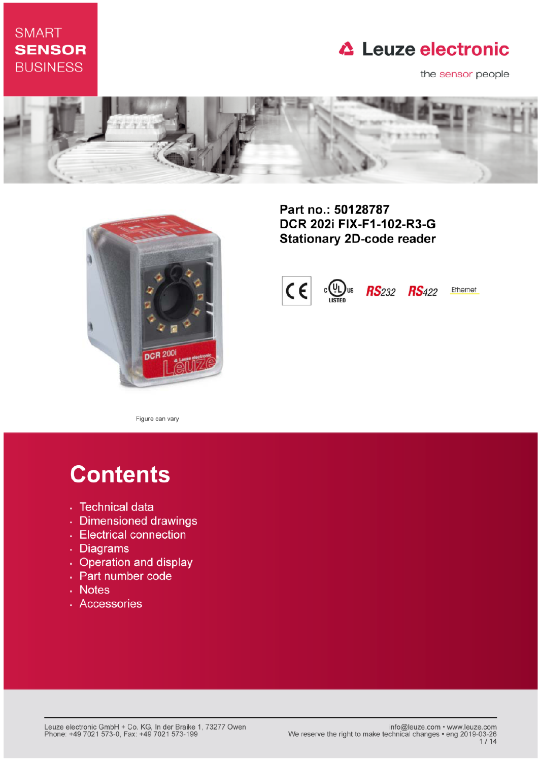## **SMART SENSOR BUSINESS**

# **△ Leuze electronic**

the sensor people





Part no.: 50128787 DCR 202i FIX-F1-102-R3-G **Stationary 2D-code reader** 



Figure can vary

# **Contents**

- · Technical data
- · Dimensioned drawings
- Electrical connection
- . Diagrams
- Operation and display
- · Part number code
- Notes
- · Accessories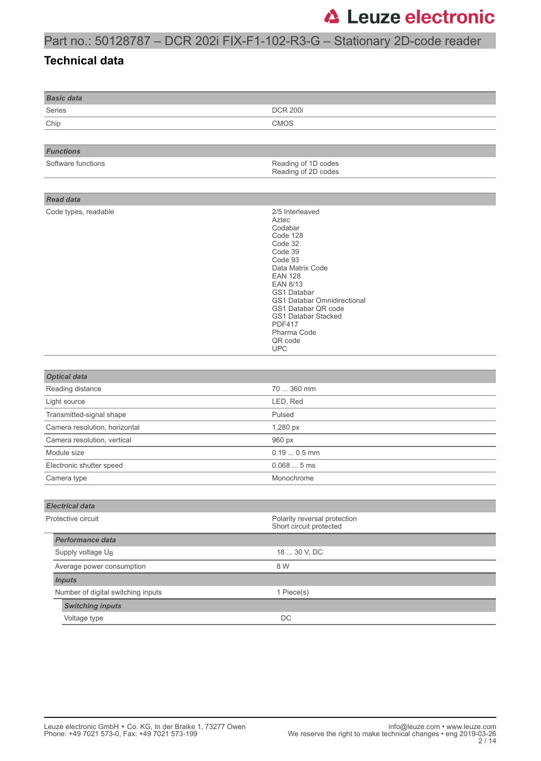## Part no.: 50128787 – DCR 202i FIX-F1-102-R3-G – Stationary 2D-code reader

#### **Technical data**

| <b>DCR 200i</b>                                                                                                                                                                                                                                                                         |
|-----------------------------------------------------------------------------------------------------------------------------------------------------------------------------------------------------------------------------------------------------------------------------------------|
| <b>CMOS</b>                                                                                                                                                                                                                                                                             |
|                                                                                                                                                                                                                                                                                         |
|                                                                                                                                                                                                                                                                                         |
| Reading of 1D codes<br>Reading of 2D codes                                                                                                                                                                                                                                              |
|                                                                                                                                                                                                                                                                                         |
|                                                                                                                                                                                                                                                                                         |
| 2/5 Interleaved<br>Aztec<br>Codabar<br>Code 128<br>Code 32<br>Code 39<br>Code 93<br>Data Matrix Code<br><b>EAN 128</b><br><b>EAN 8/13</b><br><b>GS1 Databar</b><br>GS1 Databar Omnidirectional<br>GS1 Databar QR code<br>GS1 Databar Stacked<br><b>PDF417</b><br>Pharma Code<br>QR code |
| <b>UPC</b>                                                                                                                                                                                                                                                                              |
|                                                                                                                                                                                                                                                                                         |
|                                                                                                                                                                                                                                                                                         |
| 70  360 mm                                                                                                                                                                                                                                                                              |
| LED, Red                                                                                                                                                                                                                                                                                |
| Pulsed                                                                                                                                                                                                                                                                                  |
| 1,280 px                                                                                                                                                                                                                                                                                |
| 960 px                                                                                                                                                                                                                                                                                  |
| $0.190.5$ mm                                                                                                                                                                                                                                                                            |
| 0.0685ms                                                                                                                                                                                                                                                                                |
| Monochrome                                                                                                                                                                                                                                                                              |
|                                                                                                                                                                                                                                                                                         |
| Polarity reversal protection<br>Short circuit protected                                                                                                                                                                                                                                 |
|                                                                                                                                                                                                                                                                                         |
| 18  30 V, DC                                                                                                                                                                                                                                                                            |
| 8 W                                                                                                                                                                                                                                                                                     |
|                                                                                                                                                                                                                                                                                         |
| 1 Piece(s)                                                                                                                                                                                                                                                                              |
|                                                                                                                                                                                                                                                                                         |
|                                                                                                                                                                                                                                                                                         |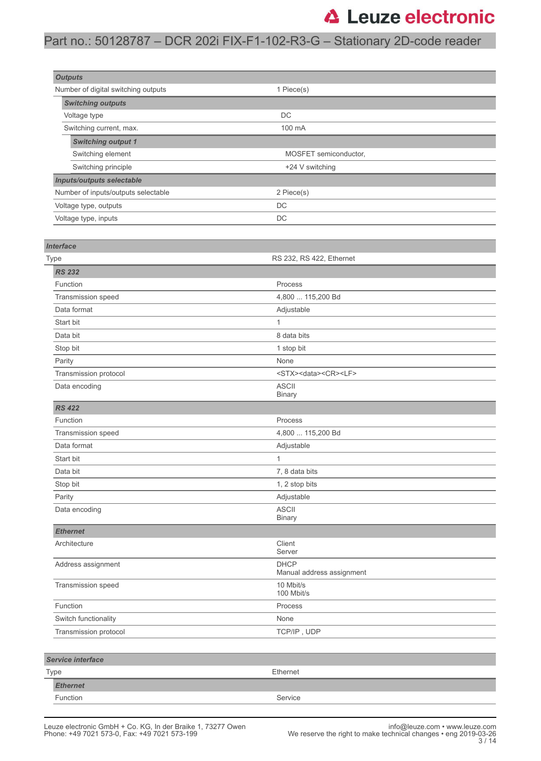### Part no.: 50128787 – DCR 202i FIX-F1-102-R3-G – Stationary 2D-code reader

| <b>Outputs</b>                      |                       |  |
|-------------------------------------|-----------------------|--|
| Number of digital switching outputs | 1 Piece(s)            |  |
| <b>Switching outputs</b>            |                       |  |
| Voltage type                        | <b>DC</b>             |  |
| Switching current, max.             | 100 mA                |  |
| <b>Switching output 1</b>           |                       |  |
| Switching element                   | MOSFET semiconductor, |  |
| Switching principle                 | +24 V switching       |  |
| <b>Inputs/outputs selectable</b>    |                       |  |
| Number of inputs/outputs selectable | 2 Piece(s)            |  |
| Voltage type, outputs               | <b>DC</b>             |  |
| Voltage type, inputs                | DC                    |  |

| <b>Interface</b>         |                                            |
|--------------------------|--------------------------------------------|
| Type                     | RS 232, RS 422, Ethernet                   |
| <b>RS 232</b>            |                                            |
| Function                 | Process                                    |
| Transmission speed       | 4,800  115,200 Bd                          |
| Data format              | Adjustable                                 |
| Start bit                | $\mathbf{1}$                               |
| Data bit                 | 8 data bits                                |
| Stop bit                 | 1 stop bit                                 |
| Parity                   | None                                       |
| Transmission protocol    | <stx><data><cr><lf></lf></cr></data></stx> |
| Data encoding            | <b>ASCII</b><br><b>Binary</b>              |
| <b>RS 422</b>            |                                            |
| Function                 | Process                                    |
| Transmission speed       | 4,800  115,200 Bd                          |
| Data format              | Adjustable                                 |
| Start bit                | $\mathbf{1}$                               |
| Data bit                 | 7, 8 data bits                             |
| Stop bit                 | 1, 2 stop bits                             |
| Parity                   | Adjustable                                 |
| Data encoding            | <b>ASCII</b><br><b>Binary</b>              |
| <b>Ethernet</b>          |                                            |
| Architecture             | Client<br>Server                           |
| Address assignment       | <b>DHCP</b><br>Manual address assignment   |
| Transmission speed       | 10 Mbit/s<br>100 Mbit/s                    |
| Function                 | Process                                    |
| Switch functionality     | None                                       |
| Transmission protocol    | TCP/IP, UDP                                |
|                          |                                            |
| <b>Service interface</b> |                                            |
| Type                     | Ethernet                                   |
| <b>Ethernet</b>          |                                            |

Function Service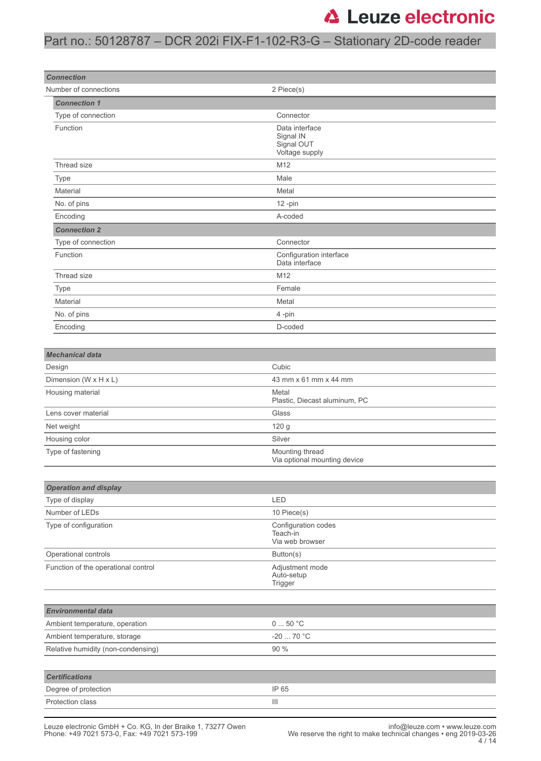### Part no.: 50128787 – DCR 202i FIX-F1-102-R3-G – Stationary 2D-code reader

| <b>Connection</b>                   |                                                             |
|-------------------------------------|-------------------------------------------------------------|
| Number of connections               | 2 Piece(s)                                                  |
| <b>Connection 1</b>                 |                                                             |
| Type of connection                  | Connector                                                   |
| Function                            | Data interface<br>Signal IN<br>Signal OUT<br>Voltage supply |
| Thread size                         | M12                                                         |
| Type                                | Male                                                        |
| Material                            | Metal                                                       |
| No. of pins                         | $12 - pin$                                                  |
| Encoding                            | A-coded                                                     |
| <b>Connection 2</b>                 |                                                             |
| Type of connection                  | Connector                                                   |
| Function                            | Configuration interface<br>Data interface                   |
| Thread size                         | M12                                                         |
| Type                                | Female                                                      |
| Material                            | Metal                                                       |
| No. of pins                         | 4-pin                                                       |
| Encoding                            | D-coded                                                     |
|                                     |                                                             |
| <b>Mechanical data</b>              |                                                             |
| Design                              | Cubic                                                       |
| Dimension (W x H x L)               | 43 mm x 61 mm x 44 mm                                       |
| Housing material                    | Metal<br>Plastic, Diecast aluminum, PC                      |
| Lens cover material                 | Glass                                                       |
| Net weight                          | 120 g                                                       |
| Housing color                       | Silver                                                      |
| Type of fastening                   | Mounting thread<br>Via optional mounting device             |
| <b>Operation and display</b>        |                                                             |
| Type of display                     | LED                                                         |
| Number of LEDs                      | 10 Piece(s)                                                 |
| Type of configuration               | Configuration codes<br>Teach-in<br>Via web browser          |
| Operational controls                | Button(s)                                                   |
| Function of the operational control | Adjustment mode<br>Auto-setup<br>Trigger                    |
|                                     |                                                             |
| <b>Environmental data</b>           |                                                             |
| Ambient temperature, operation      | 050 °C                                                      |
| Ambient temperature, storage        | $-20$ 70 °C                                                 |
| Relative humidity (non-condensing)  | 90 %                                                        |
|                                     |                                                             |
| <b>Certifications</b>               |                                                             |
| Degree of protection                | IP 65                                                       |
| Protection class                    | Ш                                                           |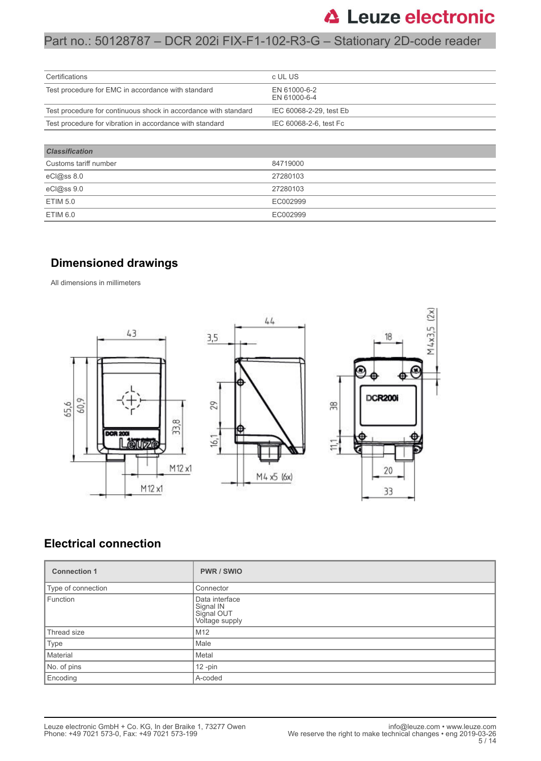### Part no.: 50128787 – DCR 202i FIX-F1-102-R3-G – Stationary 2D-code reader

| Certifications                                                  | c UL US                      |
|-----------------------------------------------------------------|------------------------------|
| Test procedure for EMC in accordance with standard              | EN 61000-6-2<br>EN 61000-6-4 |
| Test procedure for continuous shock in accordance with standard | IEC 60068-2-29, test Eb      |
| Test procedure for vibration in accordance with standard        | IEC 60068-2-6, test Fc       |
|                                                                 |                              |
| <b>Classification</b>                                           |                              |
| Customs tariff number                                           | 84719000                     |
| eC <sub>1</sub> @ss 8.0                                         | 27280103                     |
| eC <sub>1</sub> @ss9.0                                          | 27280103                     |
| <b>ETIM 5.0</b>                                                 | EC002999                     |

#### **Dimensioned drawings**

ETIM 6.0 EC002999

All dimensions in millimeters



#### **Electrical connection**

| <b>Connection 1</b> | <b>PWR/SWIO</b>                                             |
|---------------------|-------------------------------------------------------------|
| Type of connection  | Connector                                                   |
| Function            | Data interface<br>Signal IN<br>Signal OUT<br>Voltage supply |
| Thread size         | M <sub>12</sub>                                             |
| Type                | Male                                                        |
| Material            | Metal                                                       |
| No. of pins         | $12 - pin$                                                  |
| Encoding            | A-coded                                                     |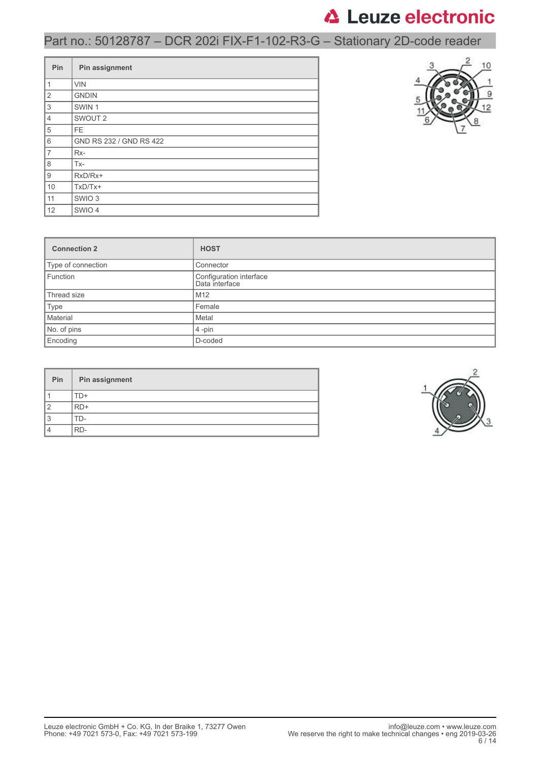# Part no.: 50128787 – DCR 202i FIX-F1-102-R3-G – Stationary 2D-code reader

| Pin                       | Pin assignment          |
|---------------------------|-------------------------|
| $\mathbf{1}$              | <b>VIN</b>              |
| $\overline{2}$            | <b>GNDIN</b>            |
| $\ensuremath{\mathsf{3}}$ | SWIN <sub>1</sub>       |
| $\overline{4}$            | SWOUT <sub>2</sub>      |
| 5                         | <b>FE</b>               |
| 6                         | GND RS 232 / GND RS 422 |
| $\overline{7}$            | Rx-                     |
| 8                         | Tx-                     |
| 9                         | RxD/Rx+                 |
| 10                        | $TxD/Tx+$               |
| 11                        | SWIO <sub>3</sub>       |
| 12                        | SWIO 4                  |



| <b>Connection 2</b> | <b>HOST</b>                               |
|---------------------|-------------------------------------------|
| Type of connection  | Connector                                 |
| Function            | Configuration interface<br>Data interface |
| Thread size         | M12                                       |
| Type                | Female                                    |
| Material            | Metal                                     |
| No. of pins         | $4$ -pin                                  |
| Encoding            | D-coded                                   |

| Pin | Pin assignment |
|-----|----------------|
|     | D+             |
|     | RD+            |
| đ   | $1$ )-         |
|     | RD-            |

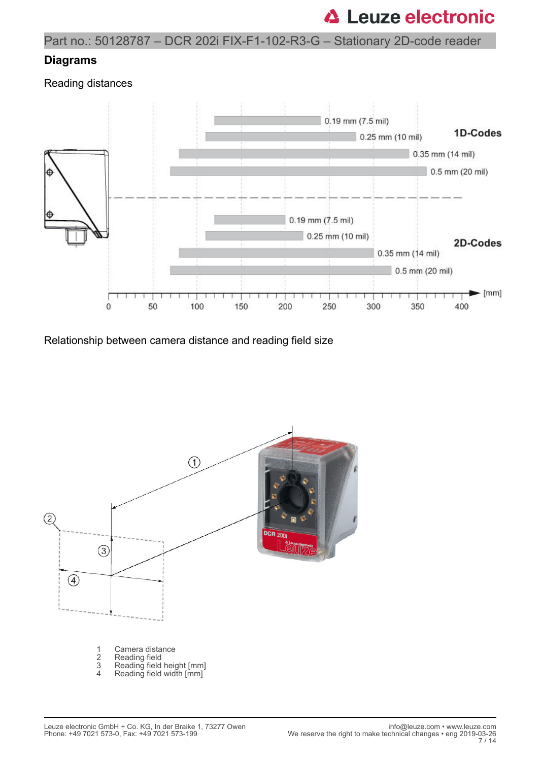### Part no.: 50128787 – DCR 202i FIX-F1-102-R3-G – Stationary 2D-code reader

#### **Diagrams**

Reading distances



Relationship between camera distance and reading field size

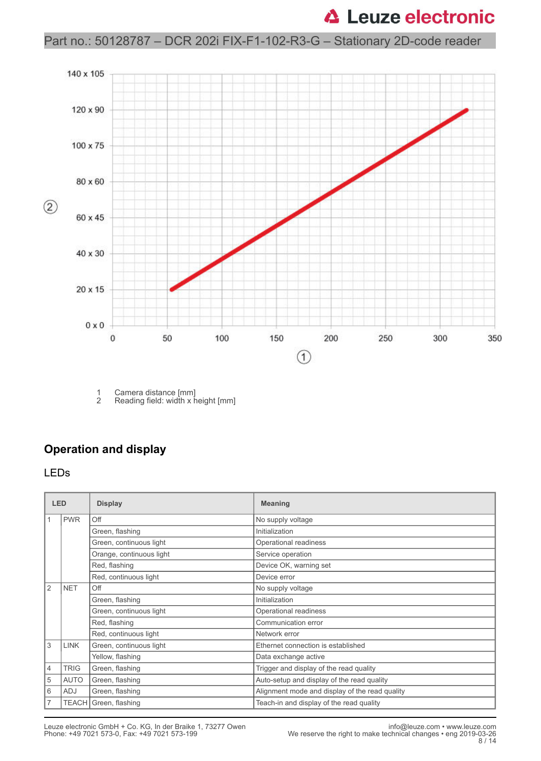### Part no.: 50128787 – DCR 202i FIX-F1-102-R3-G – Stationary 2D-code reader



1 Camera distance [mm]<br>2 Reading field: width x h Reading field: width x height [mm]

### **Operation and display**

#### LEDs

| <b>LED</b>     |             | <b>Display</b>           | <b>Meaning</b>                                 |
|----------------|-------------|--------------------------|------------------------------------------------|
|                | <b>PWR</b>  | Off                      | No supply voltage                              |
|                |             | Green, flashing          | Initialization                                 |
|                |             | Green, continuous light  | Operational readiness                          |
|                |             | Orange, continuous light | Service operation                              |
|                |             | Red, flashing            | Device OK, warning set                         |
|                |             | Red, continuous light    | Device error                                   |
| 2              | <b>NET</b>  | Off                      | No supply voltage                              |
|                |             | Green, flashing          | Initialization                                 |
|                |             | Green, continuous light  | Operational readiness                          |
|                |             | Red, flashing            | Communication error                            |
|                |             | Red, continuous light    | Network error                                  |
| 3              | <b>LINK</b> | Green, continuous light  | Ethernet connection is established             |
|                |             | Yellow, flashing         | Data exchange active                           |
| $\overline{4}$ | <b>TRIG</b> | Green, flashing          | Trigger and display of the read quality        |
| 5              | <b>AUTO</b> | Green, flashing          | Auto-setup and display of the read quality     |
| 6              | ADJ         | Green, flashing          | Alignment mode and display of the read quality |
| $\overline{7}$ |             | TEACH Green, flashing    | Teach-in and display of the read quality       |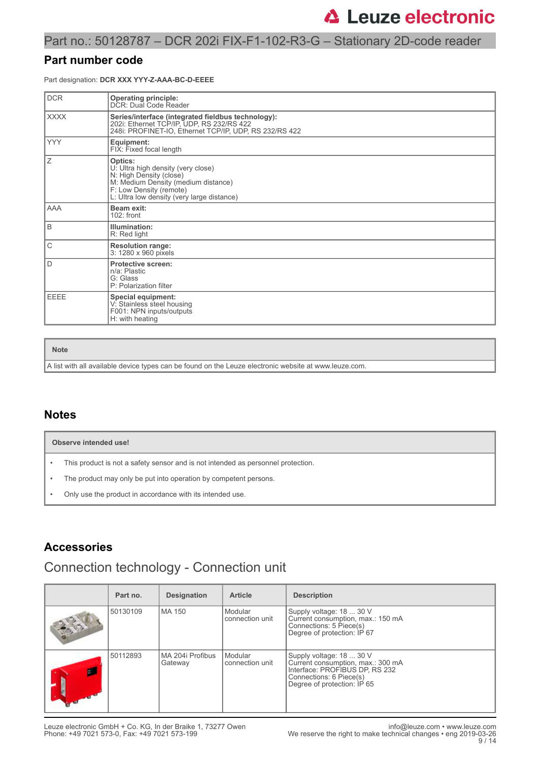### Part no.: 50128787 – DCR 202i FIX-F1-102-R3-G – Stationary 2D-code reader

#### **Part number code**

Part designation: **DCR XXX YYY-Z-AAA-BC-D-EEEE**

| <b>DCR</b>  | <b>Operating principle:</b><br>DCR: Dual Code Reader                                                                                                                                     |
|-------------|------------------------------------------------------------------------------------------------------------------------------------------------------------------------------------------|
| <b>XXXX</b> | Series/interface (integrated fieldbus technology):<br>202i: Ethernet TCP/IP, UDP, RS 232/RS 422<br>248i: PROFINET-IO, Ethernet TCP/IP, UDP, RS 232/RS 422                                |
| <b>YYY</b>  | Equipment:<br>FIX: Fixed focal length                                                                                                                                                    |
| Ζ           | Optics:<br>U: Ultra high density (very close)<br>N: High Density (close)<br>M: Medium Density (medium distance)<br>F: Low Density (remote)<br>L: Ultra low density (very large distance) |
| AAA         | Beam exit:<br>$102:$ front                                                                                                                                                               |
| B           | Illumination:<br>R: Red light                                                                                                                                                            |
| C           | <b>Resolution range:</b><br>3: 1280 x 960 pixels                                                                                                                                         |
| D           | <b>Protective screen:</b><br>n/a: Plastic<br>G: Glass<br>P: Polarization filter                                                                                                          |
| EEEE        | <b>Special equipment:</b><br>V: Stainless steel housing<br>F001: NPN inputs/outputs<br>H: with heating                                                                                   |

**Note**

A list with all available device types can be found on the Leuze electronic website at www.leuze.com.

#### **Notes**

|           | Observe intended use!                                                            |  |  |
|-----------|----------------------------------------------------------------------------------|--|--|
| $\bullet$ | This product is not a safety sensor and is not intended as personnel protection. |  |  |
|           | The product may only be put into operation by competent persons.                 |  |  |

• Only use the product in accordance with its intended use.

### **Accessories**

## Connection technology - Connection unit

| Part no. | <b>Designation</b>            | <b>Article</b>             | <b>Description</b>                                                                                                                                        |
|----------|-------------------------------|----------------------------|-----------------------------------------------------------------------------------------------------------------------------------------------------------|
| 50130109 | MA 150                        | Modular<br>connection unit | Supply voltage: 18  30 V<br>Current consumption, max.: 150 mA<br>Connections: 5 Piece(s)<br>Degree of protection: IP 67                                   |
| 50112893 | l MA 204i Profibus<br>Gateway | Modular<br>connection unit | Supply voltage: 18  30 V<br>Current consumption, max.: 300 mA<br>Interface: PROFIBUS DP, RS 232<br>Connections: 6 Piece(s)<br>Degree of protection: IP 65 |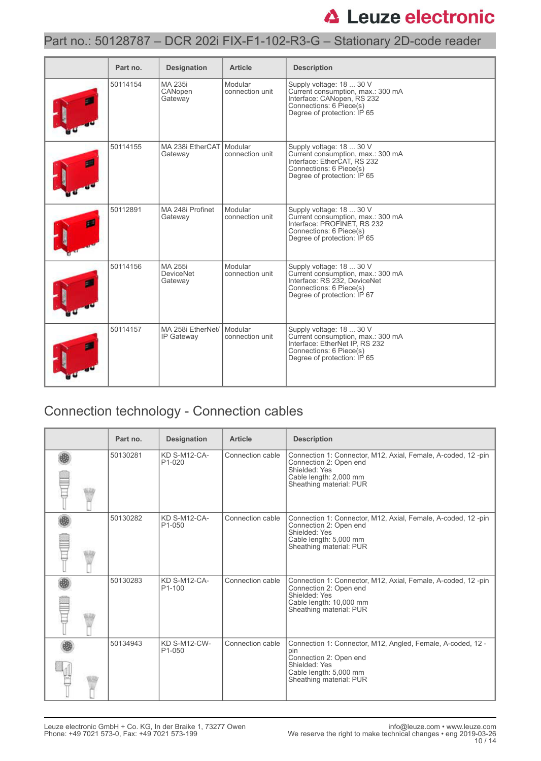### Part no.: 50128787 – DCR 202i FIX-F1-102-R3-G – Stationary 2D-code reader

| Part no. | <b>Designation</b>                     | <b>Article</b>             | <b>Description</b>                                                                                                                                        |
|----------|----------------------------------------|----------------------------|-----------------------------------------------------------------------------------------------------------------------------------------------------------|
| 50114154 | MA 235i<br>CANopen<br>Gateway          | Modular<br>connection unit | Supply voltage: 18  30 V<br>Current consumption, max.: 300 mA<br>Interface: CANopen, RS 232<br>Connections: 6 Piece(s)<br>Degree of protection: IP 65     |
| 50114155 | MA 238i EtherCAT Modular<br>Gateway    | connection unit            | Supply voltage: 18  30 V<br>Current consumption, max.: 300 mA<br>Interface: EtherCAT, RS 232<br>Connections: 6 Piece(s)<br>Degree of protection: IP 65    |
| 50112891 | MA 248i Profinet<br>Gateway            | Modular<br>connection unit | Supply voltage: 18  30 V<br>Current consumption, max.: 300 mA<br>Interface: PROFINET, RS 232<br>Connections: 6 Piece(s)<br>Degree of protection: IP 65    |
| 50114156 | MA 255i<br><b>DeviceNet</b><br>Gateway | Modular<br>connection unit | Supply voltage: 18  30 V<br>Current consumption, max.: 300 mA<br>Interface: RS 232. DeviceNet<br>Connections: 6 Piece(s)<br>Degree of protection: IP 67   |
| 50114157 | MA 258i EtherNet/<br>IP Gateway        | Modular<br>connection unit | Supply voltage: 18  30 V<br>Current consumption, max.: 300 mA<br>Interface: EtherNet IP, RS 232<br>Connections: 6 Piece(s)<br>Degree of protection: IP 65 |

# Connection technology - Connection cables

|  | Part no. | <b>Designation</b>                         | <b>Article</b>   | <b>Description</b>                                                                                                                                                 |
|--|----------|--------------------------------------------|------------------|--------------------------------------------------------------------------------------------------------------------------------------------------------------------|
|  | 50130281 | KD S-M12-CA-<br>P <sub>1</sub> -020        | Connection cable | Connection 1: Connector, M12, Axial, Female, A-coded, 12-pin<br>Connection 2: Open end<br>Shielded: Yes<br>Cable length: 2,000 mm<br>Sheathing material: PUR       |
|  | 50130282 | <b>KD S-M12-CA-</b><br>P <sub>1</sub> -050 | Connection cable | Connection 1: Connector, M12, Axial, Female, A-coded, 12-pin<br>Connection 2: Open end<br>Shielded: Yes<br>Cable length: 5,000 mm<br>Sheathing material: PUR       |
|  | 50130283 | <b>KD S-M12-CA-</b><br>P <sub>1</sub> -100 | Connection cable | Connection 1: Connector, M12, Axial, Female, A-coded, 12-pin<br>Connection 2: Open end<br>Shielded: Yes<br>Cable length: 10,000 mm<br>Sheathing material: PUR      |
|  | 50134943 | <b>KD S-M12-CW-</b><br>P <sub>1</sub> -050 | Connection cable | Connection 1: Connector, M12, Angled, Female, A-coded, 12 -<br>pin<br>Connection 2: Open end<br>Shielded: Yes<br>Cable length: 5,000 mm<br>Sheathing material: PUR |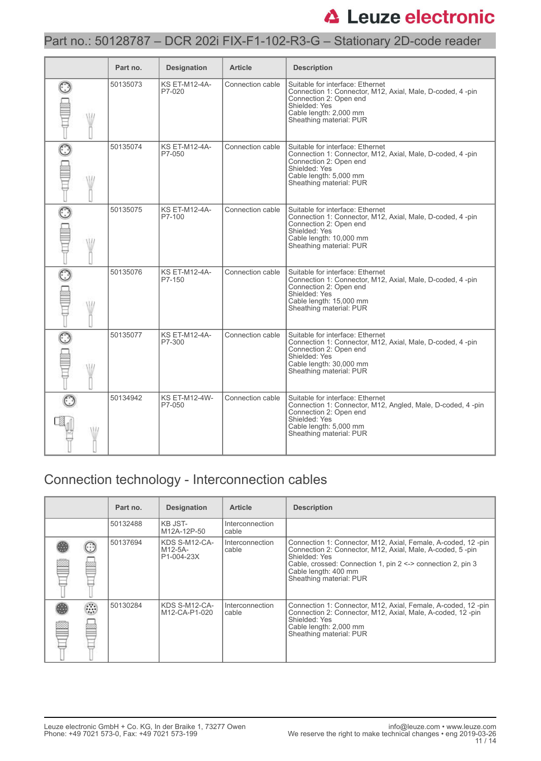### Part no.: 50128787 – DCR 202i FIX-F1-102-R3-G – Stationary 2D-code reader

| Part no. | <b>Designation</b>             | <b>Article</b>   | <b>Description</b>                                                                                                                                                                              |
|----------|--------------------------------|------------------|-------------------------------------------------------------------------------------------------------------------------------------------------------------------------------------------------|
| 50135073 | <b>KS ET-M12-4A-</b><br>P7-020 | Connection cable | Suitable for interface: Ethernet<br>Connection 1: Connector, M12, Axial, Male, D-coded, 4 -pin<br>Connection 2: Open end<br>Shielded: Yes<br>Cable length: 2,000 mm<br>Sheathing material: PUR  |
| 50135074 | <b>KS ET-M12-4A-</b><br>P7-050 | Connection cable | Suitable for interface: Ethernet<br>Connection 1: Connector, M12, Axial, Male, D-coded, 4-pin<br>Connection 2: Open end<br>Shielded: Yes<br>Cable length: 5,000 mm<br>Sheathing material: PUR   |
| 50135075 | <b>KS ET-M12-4A-</b><br>P7-100 | Connection cable | Suitable for interface: Ethernet<br>Connection 1: Connector, M12, Axial, Male, D-coded, 4 -pin<br>Connection 2: Open end<br>Shielded: Yes<br>Cable length: 10,000 mm<br>Sheathing material: PUR |
| 50135076 | <b>KS ET-M12-4A-</b><br>P7-150 | Connection cable | Suitable for interface: Ethernet<br>Connection 1: Connector, M12, Axial, Male, D-coded, 4 -pin<br>Connection 2: Open end<br>Shielded: Yes<br>Cable length: 15,000 mm<br>Sheathing material: PUR |
| 50135077 | <b>KS ET-M12-4A-</b><br>P7-300 | Connection cable | Suitable for interface: Ethernet<br>Connection 1: Connector, M12, Axial, Male, D-coded, 4 -pin<br>Connection 2: Open end<br>Shielded: Yes<br>Cable length: 30,000 mm<br>Sheathing material: PUR |
| 50134942 | <b>KS ET-M12-4W-</b><br>P7-050 | Connection cable | Suitable for interface: Ethernet<br>Connection 1: Connector, M12, Angled, Male, D-coded, 4 -pin<br>Connection 2: Open end<br>Shielded: Yes<br>Cable length: 5,000 mm<br>Sheathing material: PUR |

# Connection technology - Interconnection cables

|            | Part no. | <b>Designation</b>                     | <b>Article</b>           | <b>Description</b>                                                                                                                                                                                                                                               |
|------------|----------|----------------------------------------|--------------------------|------------------------------------------------------------------------------------------------------------------------------------------------------------------------------------------------------------------------------------------------------------------|
|            | 50132488 | KB JST-<br>M12A-12P-50                 | Interconnection<br>cable |                                                                                                                                                                                                                                                                  |
|            | 50137694 | KDS S-M12-CA-<br>M12-5A-<br>P1-004-23X | Interconnection<br>cable | Connection 1: Connector, M12, Axial, Female, A-coded, 12-pin<br>Connection 2: Connector, M12, Axial, Male, A-coded, 5-pin<br>Shielded: Yes<br>Cable, crossed: Connection 1, pin $2 \le$ > connection 2, pin 3<br>Cable length: 400 mm<br>Sheathing material: PUR |
| O)<br>1.11 | 50130284 | KDS S-M12-CA-<br>M12-CA-P1-020         | Interconnection<br>cable | Connection 1: Connector, M12, Axial, Female, A-coded, 12-pin<br>Connection 2: Connector, M12, Axial, Male, A-coded, 12-pin<br>Shielded: Yes<br>Cable length: 2,000 mm<br>Sheathing material: PUR                                                                 |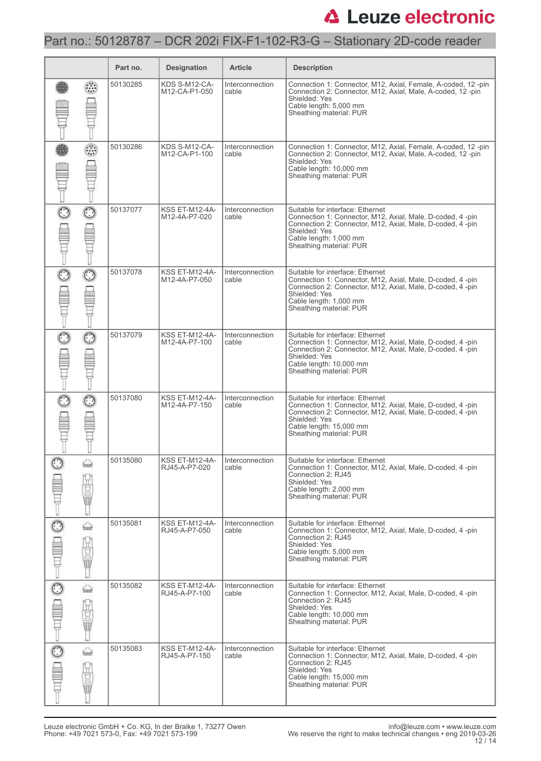## Part no.: 50128787 – DCR 202i FIX-F1-102-R3-G – Stationary 2D-code reader

|         |             | Part no. | <b>Designation</b>                     | <b>Article</b>           | <b>Description</b>                                                                                                                                                                                                                 |
|---------|-------------|----------|----------------------------------------|--------------------------|------------------------------------------------------------------------------------------------------------------------------------------------------------------------------------------------------------------------------------|
|         | O           | 50130285 | KDS S-M12-CA-<br>M12-CA-P1-050         | Interconnection<br>cable | Connection 1: Connector, M12, Axial, Female, A-coded, 12-pin<br>Connection 2: Connector, M12, Axial, Male, A-coded, 12-pin<br>Shielded: Yes<br>Cable length: 5,000 mm<br>Sheathing material: PUR                                   |
|         | ⊙           | 50130286 | KDS S-M12-CA-<br>M12-CA-P1-100         | Interconnection<br>cable | Connection 1: Connector, M12, Axial, Female, A-coded, 12-pin<br>Connection 2: Connector, M12, Axial, Male, A-coded, 12-pin<br>Shielded: Yes<br>Cable length: 10,000 mm<br>Sheathing material: PUR                                  |
| $\odot$ | $_{\odot}$  | 50137077 | <b>KSS ET-M12-4A-</b><br>M12-4A-P7-020 | Interconnection<br>cable | Suitable for interface: Ethernet<br>Connection 1: Connector, M12, Axial, Male, D-coded, 4 -pin<br>Connection 2: Connector, M12, Axial, Male, D-coded, 4-pin<br>Shielded: Yes<br>Cable length: 1,000 mm<br>Sheathing material: PUR  |
| ttill   |             | 50137078 | <b>KSS ET-M12-4A-</b><br>M12-4A-P7-050 | Interconnection<br>cable | Suitable for interface: Ethernet<br>Connection 1: Connector, M12, Axial, Male, D-coded, 4 -pin<br>Connection 2: Connector, M12, Axial, Male, D-coded, 4-pin<br>Shielded: Yes<br>Cable length: 1,000 mm<br>Sheathing material: PUR  |
| ි       | $_{\odot}$  | 50137079 | <b>KSS ET-M12-4A-</b><br>M12-4A-P7-100 | Interconnection<br>cable | Suitable for interface: Ethernet<br>Connection 1: Connector, M12, Axial, Male, D-coded, 4 -pin<br>Connection 2: Connector, M12, Axial, Male, D-coded, 4-pin<br>Shielded: Yes<br>Cable length: 10,000 mm<br>Sheathing material: PUR |
|         | $_{\odot}$  | 50137080 | <b>KSS ET-M12-4A-</b><br>M12-4A-P7-150 | Interconnection<br>cable | Suitable for interface: Ethernet<br>Connection 1: Connector, M12, Axial, Male, D-coded, 4 -pin<br>Connection 2: Connector, M12, Axial, Male, D-coded, 4-pin<br>Shielded: Yes<br>Cable length: 15,000 mm<br>Sheathing material: PUR |
| $\odot$ | ⇔<br>Ò      | 50135080 | KSS ET-M12-4A-<br>RJ45-A-P7-020        | Interconnection<br>cable | Suitable for interface: Ethernet<br>Connection 1: Connector, M12, Axial, Male, D-coded, 4-pin<br>Connection 2: RJ45<br>Shielded: Yes<br>Cable length: 2,000 mm<br>Sheathing material: PUR                                          |
|         | ⇔<br>ÿ<br>Ū | 50135081 | KSS ET-M12-4A-<br>RJ45-A-P7-050        | Interconnection<br>cable | Suitable for interface: Ethernet<br>Connection 1: Connector, M12, Axial, Male, D-coded, 4-pin<br>Connection 2: RJ45<br>Shielded: Yes<br>Cable length: 5,000 mm<br>Sheathing material: PUR                                          |
|         | ⇔<br>甘量     | 50135082 | KSS ET-M12-4A-<br>RJ45-A-P7-100        | Interconnection<br>cable | Suitable for interface: Ethernet<br>Connection 1: Connector, M12, Axial, Male, D-coded, 4-pin<br>Connection 2: RJ45<br>Shielded: Yes<br>Cable length: 10,000 mm<br>Sheathing material: PUR                                         |
|         | ⇔<br>世軍     | 50135083 | <b>KSS ET-M12-4A-</b><br>RJ45-A-P7-150 | Interconnection<br>cable | Suitable for interface: Ethernet<br>Connection 1: Connector, M12, Axial, Male, D-coded, 4-pin<br>Connection 2: RJ45<br>Shielded: Yes<br>Cable length: 15,000 mm<br>Sheathing material: PUR                                         |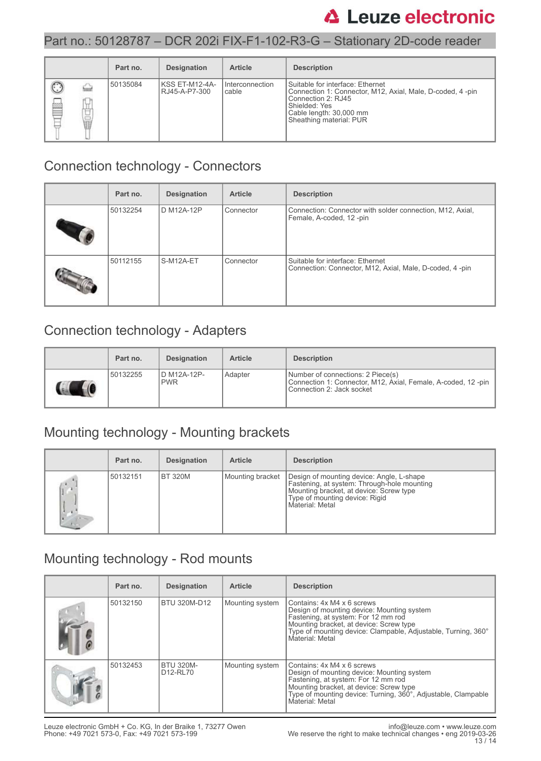### Part no.: 50128787 – DCR 202i FIX-F1-102-R3-G – Stationary 2D-code reader

|                   | Part no. | <b>Designation</b>                 | <b>Article</b>           | <b>Description</b>                                                                                                                                                                           |
|-------------------|----------|------------------------------------|--------------------------|----------------------------------------------------------------------------------------------------------------------------------------------------------------------------------------------|
| P<br>◡<br>÷<br>昌日 | 50135084 | IKSS ET-M12-4A-<br>I RJ45-A-P7-300 | Interconnection<br>cable | l Suitable for interface: Ethernet<br>Connection 1: Connector, M12, Axial, Male, D-coded, 4-pin<br>Connection 2: RJ45<br>Shielded: Yes<br>Cable length: 30,000 mm<br>Sheathing material: PUR |

### Connection technology - Connectors

| Part no. | <b>Designation</b> | <b>Article</b> | <b>Description</b>                                                                          |
|----------|--------------------|----------------|---------------------------------------------------------------------------------------------|
| 50132254 | D M12A-12P         | Connector      | Connection: Connector with solder connection, M12, Axial,<br>Female, A-coded, 12-pin        |
| 50112155 | S-M12A-ET          | Connector      | Suitable for interface: Ethernet<br>Connection: Connector, M12, Axial, Male, D-coded, 4-pin |

## Connection technology - Adapters

| Part no. | <b>Designation</b>         | <b>Article</b> | <b>Description</b>                                                                                                               |
|----------|----------------------------|----------------|----------------------------------------------------------------------------------------------------------------------------------|
| 50132255 | ID M12A-12P-<br><b>PWR</b> | Adapter        | Number of connections: 2 Piece(s)<br>Connection 1: Connector, M12, Axial, Female, A-coded, 12-pin  <br>Connection 2: Jack socket |

## Mounting technology - Mounting brackets

| Part no. | <b>Designation</b> | <b>Article</b>   | <b>Description</b>                                                                                                                                                                       |
|----------|--------------------|------------------|------------------------------------------------------------------------------------------------------------------------------------------------------------------------------------------|
| 50132151 | IBT 320M           | Mounting bracket | Design of mounting device: Angle, L-shape<br>Fastening, at system: Through-hole mounting<br>Mounting bracket, at device: Screw type<br>Type of mounting device: Rigid<br>Material: Metal |

## Mounting technology - Rod mounts

| Part no. | <b>Designation</b>                                    | <b>Article</b>  | <b>Description</b>                                                                                                                                                                                                                             |
|----------|-------------------------------------------------------|-----------------|------------------------------------------------------------------------------------------------------------------------------------------------------------------------------------------------------------------------------------------------|
| 50132150 | BTU 320M-D12                                          | Mounting system | Contains: 4x M4 x 6 screws<br>Design of mounting device: Mounting system<br>Fastening, at system: For 12 mm rod<br>Mounting bracket, at device: Screw type<br>Type of mounting device: Clampable, Adjustable, Turning, 360°<br>Material: Metal |
| 50132453 | <b>BTU 320M-</b><br>D <sub>12</sub> -RL <sub>70</sub> | Mounting system | Contains: 4x M4 x 6 screws<br>Design of mounting device: Mounting system<br>Fastening, at system: For 12 mm rod<br>Mounting bracket, at device: Screw type<br>Type of mounting device: Turning, 360°, Adjustable, Clampable<br>Material: Metal |